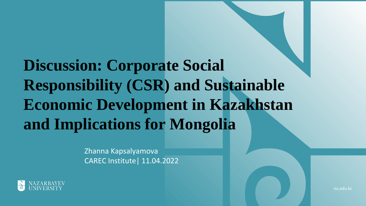### **Discussion: Corporate Social Responsibility (CSR) and Sustainable Economic Development in Kazakhstan and Implications for Mongolia**

Zhanna Kapsalyamova CAREC Institute| 11.04.2022



nu.edu.kz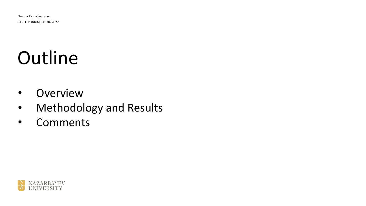## Outline

- Overview
- Methodology and Results
- Comments

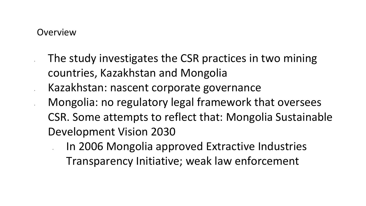#### **Overview**

- The study investigates the CSR practices in two mining countries, Kazakhstan and Mongolia
- Kazakhstan: nascent corporate governance
- Mongolia: no regulatory legal framework that oversees CSR. Some attempts to reflect that: Mongolia Sustainable Development Vision 2030
	- In 2006 Mongolia approved Extractive Industries
		- Transparency Initiative; weak law enforcement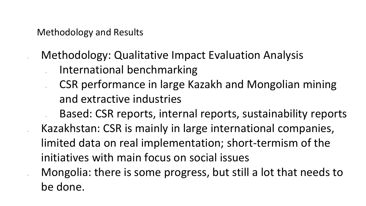Methodology and Results

• Methodology: Qualitative Impact Evaluation Analysis

- International benchmarking
- CSR performance in large Kazakh and Mongolian mining and extractive industries

• Based: CSR reports, internal reports, sustainability reports • Kazakhstan: CSR is mainly in large international companies, limited data on real implementation; short-termism of the initiatives with main focus on social issues • Mongolia: there is some progress, but still a lot that needs to be done.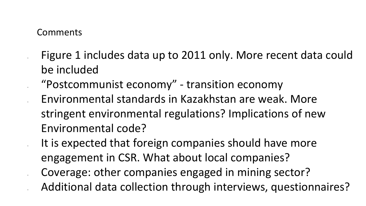#### Comments

- Figure 1 includes data up to 2011 only. More recent data could be included
- "Postcommunist economy" transition economy • Environmental standards in Kazakhstan are weak. More stringent environmental regulations? Implications of new Environmental code?
	- It is expected that foreign companies should have more engagement in CSR. What about local companies? • Coverage: other companies engaged in mining sector? • Additional data collection through interviews, questionnaires?